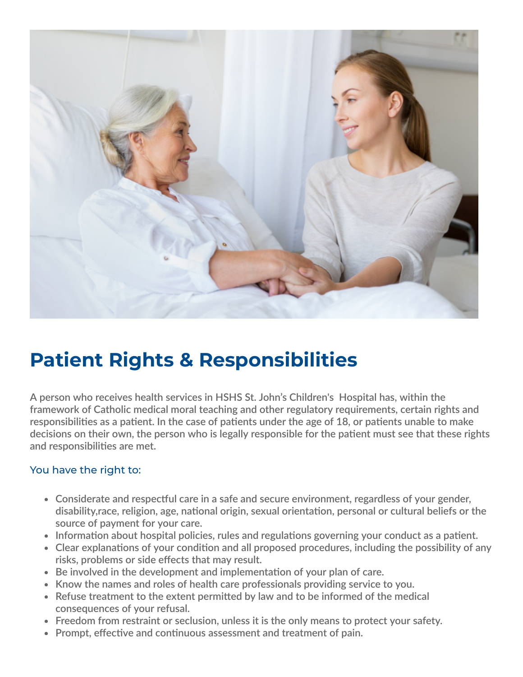

## **Patient Rights & Responsibilities**

**A person who receives health services in HSHS St. John's Children's Hospital has, within the framework of Catholic medical moral teaching and other regulatory requirements, certain rights and** responsibilities as a patient. In the case of patients under the age of 18, or patients unable to make decisions on their own, the person who is legally responsible for the patient must see that these rights **and responsibilities are met.**

## You have the right to:

- **Considerate and respectful care in a safe and secure environment, regardless of your gender, disability,race, religion, age, national origin, sexual orientation, personal or cultural beliefs or the source of payment for your care.**
- **Information about hospital policies, rules and regulations governing your conduct as a patient.**
- **Clear explanations of your condition and all proposed procedures, including the possibility of any risks, problems or side effects that may result.**
- **Be involved in the development and implementation of your plan of care.**
- **Know the names and roles of health care professionals providing service to you.**
- **Refuse treatment to the extent permitted by law and to be informed of the medical consequences of your refusal.**
- **Freedom from restraint or seclusion, unless it is the only means to protect your safety.**
- **Prompt, effective and continuous assessment and treatment of pain.**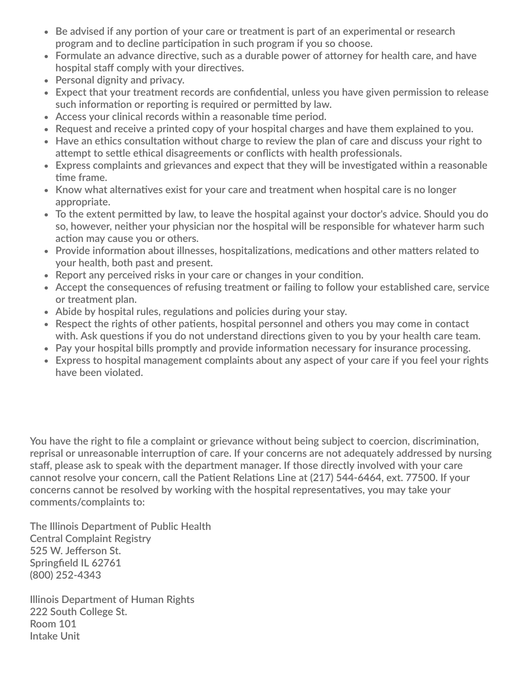- **Be advised if any portion of your care or treatment is part of an experimental or research program and to decline participation in such program if you so choose.**
- **Formulate an advance directive, such as a durable power of attorney for health care, and have hospital staff comply with your directives.**
- **Personal dignity and privacy.**
- **Expect that your treatment records are confidential, unless you have given permission to release such information or reporting is required or permitted by law.**
- **Access your clinical records within a reasonable time period.**
- **Request and receive a printed copy of your hospital charges and have them explained to you.**
- **Have an ethics consultation without charge to review the plan of care and discuss your right to attempt to settle ethical disagreements or conflicts with health professionals.**
- **Express complaints and grievances and expect that they will be investigated within a reasonable time frame.**
- **Know what alternatives exist for your care and treatment when hospital care is no longer appropriate.**
- **To the extent permitted by law, to leave the hospital against your doctor's advice. Should you do so, however, neither your physician nor the hospital will be responsible for whatever harm such action may cause you or others.**
- **Provide information about illnesses, hospitalizations, medications and other matters related to your health, both past and present.**
- **Report any perceived risks in your care or changes in your condition.**
- **Accept the consequences of refusing treatment or failing to follow your established care, service or treatment plan.**
- **Abide by hospital rules, regulations and policies during your stay.**
- **Respect the rights of other patients, hospital personnel and others you may come in contact with. Ask questions if you do not understand directions given to you by your health care team.**
- **Pay your hospital bills promptly and provide information necessary for insurance processing.**
- **Express to hospital management complaints about any aspect of your care if you feel your rights have been violated.**

**You have the right to file a complaint or grievance without being subject to coercion, discrimination, reprisal or unreasonable interruption of care. If your concerns are not adequately addressed by nursing staff, please ask to speak with the department manager. If those directly involved with your care cannot resolve your concern, call the Patient Relations Line at (217) 544-6464, ext. 77500. If your concerns cannot be resolved by working with the hospital representatives, you may take your comments/complaints to:**

**The Illinois Department of Public Health Central Complaint Registry 525 W. Jefferson St. Springfield IL 62761 (800) 252-4343**

**Illinois Department of Human Rights 222 South College St. Room 101 Intake Unit**